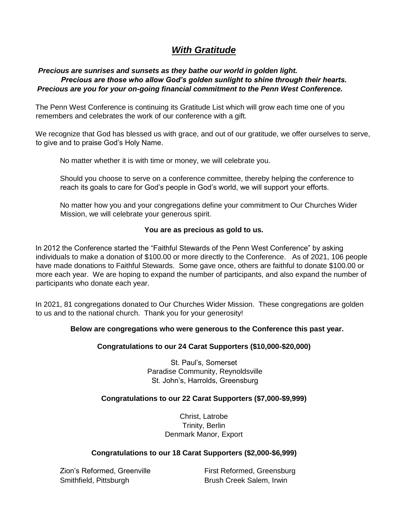# *With Gratitude*

## *Precious are sunrises and sunsets as they bathe our world in golden light. Precious are those who allow God's golden sunlight to shine through their hearts. Precious are you for your on-going financial commitment to the Penn West Conference.*

The Penn West Conference is continuing its Gratitude List which will grow each time one of you remembers and celebrates the work of our conference with a gift.

We recognize that God has blessed us with grace, and out of our gratitude, we offer ourselves to serve, to give and to praise God's Holy Name.

No matter whether it is with time or money, we will celebrate you.

Should you choose to serve on a conference committee, thereby helping the conference to reach its goals to care for God's people in God's world, we will support your efforts.

No matter how you and your congregations define your commitment to Our Churches Wider Mission, we will celebrate your generous spirit.

#### **You are as precious as gold to us.**

In 2012 the Conference started the "Faithful Stewards of the Penn West Conference" by asking individuals to make a donation of \$100.00 or more directly to the Conference. As of 2021, 106 people have made donations to Faithful Stewards. Some gave once, others are faithful to donate \$100.00 or more each year. We are hoping to expand the number of participants, and also expand the number of participants who donate each year.

In 2021, 81 congregations donated to Our Churches Wider Mission. These congregations are golden to us and to the national church. Thank you for your generosity!

## **Below are congregations who were generous to the Conference this past year.**

## **Congratulations to our 24 Carat Supporters (\$10,000-\$20,000)**

St. Paul's, Somerset Paradise Community, Reynoldsville St. John's, Harrolds, Greensburg

## **Congratulations to our 22 Carat Supporters (\$7,000-\$9,999)**

Christ, Latrobe Trinity, Berlin Denmark Manor, Export

#### **Congratulations to our 18 Carat Supporters (\$2,000-\$6,999)**

Zion's Reformed, Greenville First Reformed, Greensburg Smithfield, Pittsburgh Brush Creek Salem, Irwin